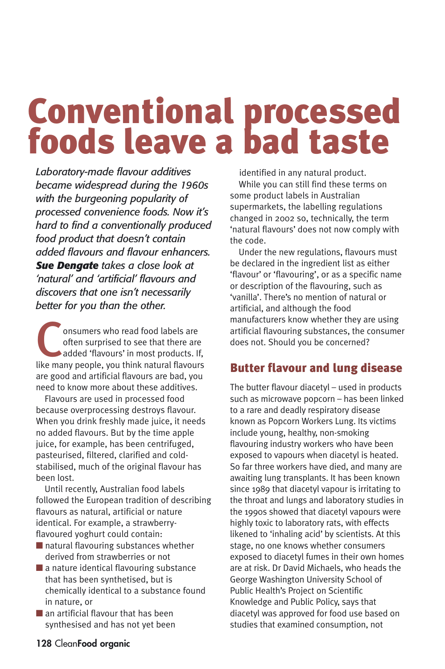## Conventional processed foods leave a bad taste

*Laboratory-made flavour additives became widespread during the 1960s with the burgeoning popularity of processed convenience foods. Now it's hard to find a conventionally produced food product that doesn't contain added flavours and flavour enhancers. Sue Dengate takes a close look at 'natural' and 'artificial' flavours and discovers that one isn't necessarily better for you than the other.* 

onsumers who read food labels are often surprised to see that there are added 'flavours' in most products. If, like many people, you think natural flavours are good and artificial flavours are bad, you need to know more about these additives.

Flavours are used in processed food because overprocessing destroys flavour. When you drink freshly made juice, it needs no added flavours. But by the time apple juice, for example, has been centrifuged, pasteurised, filtered, clarified and coldstabilised, much of the original flavour has been lost.

Until recently, Australian food labels followed the European tradition of describing flavours as natural, artificial or nature identical. For example, a strawberryflavoured yoghurt could contain:

- natural flavouring substances whether derived from strawberries or not
- a nature identical flavouring substance that has been synthetised, but is chemically identical to a substance found in nature, or
- an artificial flavour that has been synthesised and has not yet been

identified in any natural product. While you can still find these terms on some product labels in Australian supermarkets, the labelling regulations changed in 2002 so, technically, the term 'natural flavours' does not now comply with the code.

Under the new regulations, flavours must be declared in the ingredient list as either 'flavour' or 'flavouring', or as a specific name or description of the flavouring, such as 'vanilla'. There's no mention of natural or artificial, and although the food manufacturers know whether they are using artificial flavouring substances, the consumer does not. Should you be concerned?

#### Butter flavour and lung disease

The butter flavour diacetyl – used in products such as microwave popcorn – has been linked to a rare and deadly respiratory disease known as Popcorn Workers Lung. Its victims include young, healthy, non-smoking flavouring industry workers who have been exposed to vapours when diacetyl is heated. So far three workers have died, and many are awaiting lung transplants. It has been known since 1989 that diacetyl vapour is irritating to the throat and lungs and laboratory studies in the 1990s showed that diacetyl vapours were highly toxic to laboratory rats, with effects likened to 'inhaling acid' by scientists. At this stage, no one knows whether consumers exposed to diacetyl fumes in their own homes are at risk. Dr David Michaels, who heads the George Washington University School of Public Health's Project on Scientific Knowledge and Public Policy, says that diacetyl was approved for food use based on studies that examined consumption, not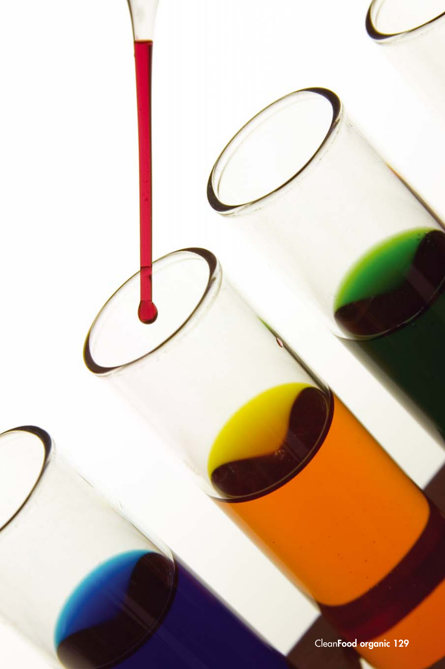Clean**Food organic 129**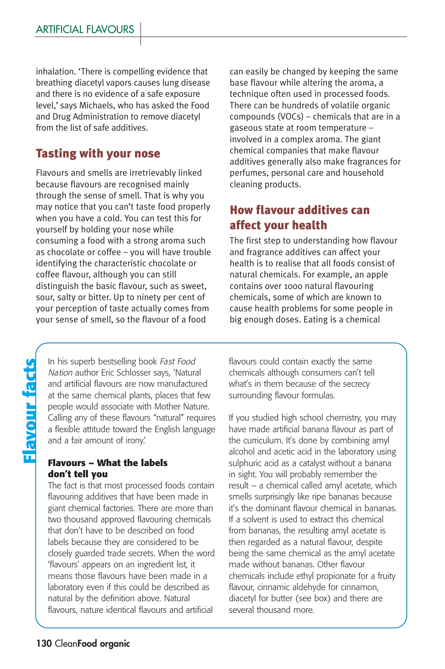inhalation. 'There is compelling evidence that breathing diacetyl vapors causes lung disease and there is no evidence of a safe exposure level,' says Michaels, who has asked the Food and Drug Administration to remove diacetyl from the list of safe additives.

#### Tasting with your nose

Flavours and smells are irretrievably linked because flavours are recognised mainly through the sense of smell. That is why you may notice that you can't taste food properly when you have a cold. You can test this for yourself by holding your nose while consuming a food with a strong aroma such as chocolate or coffee – you will have trouble identifying the characteristic chocolate or coffee flavour, although you can still distinguish the basic flavour, such as sweet, sour, salty or bitter. Up to ninety per cent of your perception of taste actually comes from your sense of smell, so the flavour of a food

can easily be changed by keeping the same base flavour while altering the aroma, a technique often used in processed foods. There can be hundreds of volatile organic compounds (VOCs) – chemicals that are in a gaseous state at room temperature – involved in a complex aroma. The giant chemical companies that make flavour additives generally also make fragrances for perfumes, personal care and household cleaning products.

#### How flavour additives can affect your health

The first step to understanding how flavour and fragrance additives can affect your health is to realise that all foods consist of natural chemicals. For example, an apple contains over 1000 natural flavouring chemicals, some of which are known to cause health problems for some people in big enough doses. Eating is a chemical

**Flavour fact Food Nation author Eric Schlosser says, 'Natural and artificial flavours are now manufactured at the same chemical plants, places that people would associate with Mother National Calling any of these flavours** Nation author Eric Schlosser says, 'Natural and artificial flavours are now manufactured at the same chemical plants, places that few people would associate with Mother Nature. Calling any of these flavours "natural" requires a flexible attitude toward the English language and a fair amount of irony.'

#### **Flavours – What the labels don't tell you**

The fact is that most processed foods contain flavouring additives that have been made in giant chemical factories. There are more than two thousand approved flavouring chemicals that don't have to be described on food labels because they are considered to be closely guarded trade secrets. When the word 'flavours' appears on an ingredient list, it means those flavours have been made in a laboratory even if this could be described as natural by the definition above. Natural flavours, nature identical flavours and artificial

flavours could contain exactly the same chemicals although consumers can't tell what's in them because of the secrecy surrounding flavour formulas.

If you studied high school chemistry, you may have made artificial banana flavour as part of the curriculum. It's done by combining amyl alcohol and acetic acid in the laboratory using sulphuric acid as a catalyst without a banana in sight. You will probably remember the result – a chemical called amyl acetate, which smells surprisingly like ripe bananas because it's the dominant flavour chemical in bananas. If a solvent is used to extract this chemical from bananas, the resulting amyl acetate is then regarded as a natural flavour, despite being the same chemical as the amyl acetate made without bananas. Other flavour chemicals include ethyl propionate for a fruity flavour, cinnamic aldehyde for cinnamon, diacetyl for butter (see box) and there are several thousand more.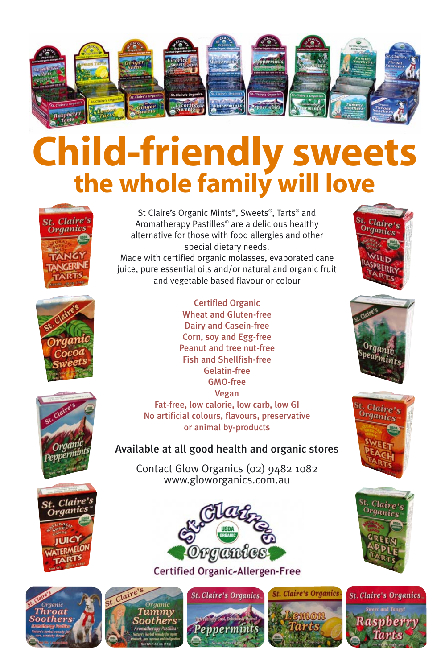

# **Child-friendly sweets the whole family will love**









St Claire's Organic Mints®, Sweets®, Tarts® and Aromatherapy Pastilles® are a delicious healthy alternative for those with food allergies and other special dietary needs. Made with certified organic molasses, evaporated cane juice, pure essential oils and/or natural and organic fruit and vegetable based flavour or colour

Clairo Organics

Certified Organic Wheat and Gluten-free Dairy and Casein-free Corn, soy and Egg-free Peanut and tree nut-free Fish and Shellfish-free Gelatin-free GMO-free Vegan Fat-free, low calorie, low carb, low GI

No artificial colours, flavours, preservative or animal by-products

#### Available at all good health and organic stores

Contact Glow Organics (02) 9482 1082 www.gloworganics.com.au



Certified Organic-Allergen-Free









**St. Claire's Organics** 







Claire

rganic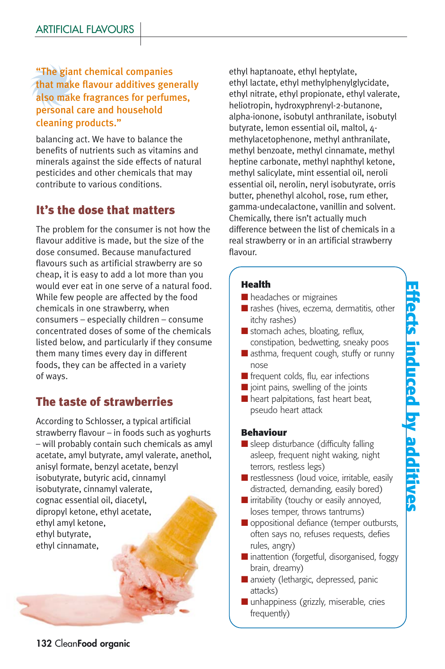#### "The giant chemical companies that make flavour additives generally also make fragrances for perfumes, personal care and household cleaning products."

balancing act. We have to balance the benefits of nutrients such as vitamins and minerals against the side effects of natural pesticides and other chemicals that may contribute to various conditions.

#### It's the dose that matters

The problem for the consumer is not how the flavour additive is made, but the size of the dose consumed. Because manufactured flavours such as artificial strawberry are so cheap, it is easy to add a lot more than you would ever eat in one serve of a natural food. While few people are affected by the food chemicals in one strawberry, when consumers – especially children – consume concentrated doses of some of the chemicals listed below, and particularly if they consume them many times every day in different foods, they can be affected in a variety of ways.

#### The taste of strawberries

According to Schlosser, a typical artificial strawberry flavour – in foods such as yoghurts – will probably contain such chemicals as amyl acetate, amyl butyrate, amyl valerate, anethol, anisyl formate, benzyl acetate, benzyl isobutyrate, butyric acid, cinnamyl isobutyrate, cinnamyl valerate, cognac essential oil, diacetyl, dipropyl ketone, ethyl acetate, ethyl amyl ketone, ethyl butyrate, ethyl cinnamate,

ethyl haptanoate, ethyl heptylate, ethyl lactate, ethyl methylphenylglycidate, ethyl nitrate, ethyl propionate, ethyl valerate, heliotropin, hydroxyphrenyl-2-butanone, alpha-ionone, isobutyl anthranilate, isobutyl butyrate, lemon essential oil, maltol, 4 methylacetophenone, methyl anthranilate, methyl benzoate, methyl cinnamate, methyl heptine carbonate, methyl naphthyl ketone, methyl salicylate, mint essential oil, neroli essential oil, nerolin, neryl isobutyrate, orris butter, phenethyl alcohol, rose, rum ether, gamma-undecalactone, vanillin and solvent. Chemically, there isn't actually much difference between the list of chemicals in a real strawberry or in an artificial strawberry flavour.

#### **Health**

- headaches or migraines
- rashes (hives, eczema, dermatitis, other itchy rashes)
- stomach aches, bloating, reflux, constipation, bedwetting, sneaky poos
- asthma, frequent cough, stuffy or runny nose
- frequent colds, flu, ear infections
- joint pains, swelling of the joints
- heart palpitations, fast heart beat, pseudo heart attack

#### **Behaviour**

- sleep disturbance (difficulty falling asleep, frequent night waking, night terrors, restless legs)
- restlessness (loud voice, irritable, easily distracted, demanding, easily bored)
- irritability (touchy or easily annoyed, loses temper, throws tantrums)
- oppositional defiance (temper outbursts, often says no, refuses requests, defies rules, angry)
- inattention (forgetful, disorganised, foggy brain, dreamy)
- anxiety (lethargic, depressed, panic attacks)
- unhappiness (grizzly, miserable, cries frequently)

**132** Clean**Food organic**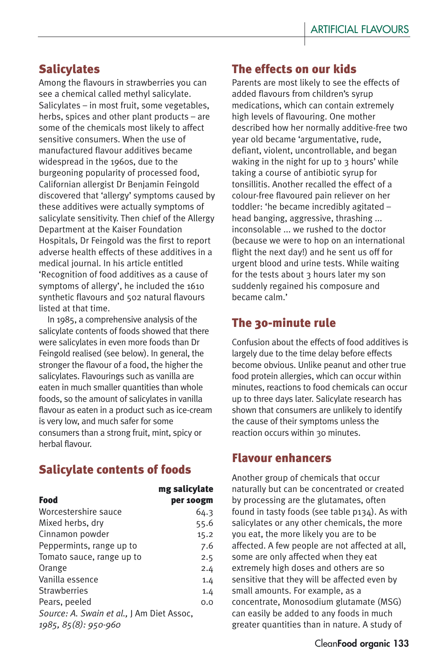#### **Salicylates**

Among the flavours in strawberries you can see a chemical called methyl salicylate. Salicylates – in most fruit, some vegetables, herbs, spices and other plant products – are some of the chemicals most likely to affect sensitive consumers. When the use of manufactured flavour additives became widespread in the 1960s, due to the burgeoning popularity of processed food, Californian allergist Dr Benjamin Feingold discovered that 'allergy' symptoms caused by these additives were actually symptoms of salicylate sensitivity. Then chief of the Allergy Department at the Kaiser Foundation Hospitals, Dr Feingold was the first to report adverse health effects of these additives in a medical journal. In his article entitled 'Recognition of food additives as a cause of symptoms of allergy', he included the 1610 synthetic flavours and 502 natural flavours listed at that time.

In 1985, a comprehensive analysis of the salicylate contents of foods showed that there were salicylates in even more foods than Dr Feingold realised (see below). In general, the stronger the flavour of a food, the higher the salicylates. Flavourings such as vanilla are eaten in much smaller quantities than whole foods, so the amount of salicylates in vanilla flavour as eaten in a product such as ice-cream is very low, and much safer for some consumers than a strong fruit, mint, spicy or herbal flavour.

#### Salicylate contents of foods

|                                           | mg salicylate |
|-------------------------------------------|---------------|
| Food                                      | per 100gm     |
| Worcestershire sauce                      | 64.3          |
| Mixed herbs, dry                          | 55.6          |
| Cinnamon powder                           | 15.2          |
| Peppermints, range up to                  | 7.6           |
| Tomato sauce, range up to                 | 2.5           |
| Orange                                    | 2.4           |
| Vanilla essence                           | 1.4           |
| Strawberries                              | 1.4           |
| Pears, peeled                             | 0.0           |
| Source: A. Swain et al., J Am Diet Assoc, |               |
| 1985, 85(8): 950-960                      |               |

#### The effects on our kids

Parents are most likely to see the effects of added flavours from children's syrup medications, which can contain extremely high levels of flavouring. One mother described how her normally additive-free two year old became 'argumentative, rude, defiant, violent, uncontrollable, and began waking in the night for up to 3 hours' while taking a course of antibiotic syrup for tonsillitis. Another recalled the effect of a colour-free flavoured pain reliever on her toddler: 'he became incredibly agitated – head banging, aggressive, thrashing ... inconsolable ... we rushed to the doctor (because we were to hop on an international flight the next day!) and he sent us off for urgent blood and urine tests. While waiting for the tests about 3 hours later my son suddenly regained his composure and became calm.'

#### The 30-minute rule

Confusion about the effects of food additives is largely due to the time delay before effects become obvious. Unlike peanut and other true food protein allergies, which can occur within minutes, reactions to food chemicals can occur up to three days later. Salicylate research has shown that consumers are unlikely to identify the cause of their symptoms unless the reaction occurs within 30 minutes.

#### Flavour enhancers

Another group of chemicals that occur naturally but can be concentrated or created by processing are the glutamates, often found in tasty foods (see table p134). As with salicylates or any other chemicals, the more you eat, the more likely you are to be affected. A few people are not affected at all, some are only affected when they eat extremely high doses and others are so sensitive that they will be affected even by small amounts. For example, as a concentrate, Monosodium glutamate (MSG) can easily be added to any foods in much greater quantities than in nature. A study of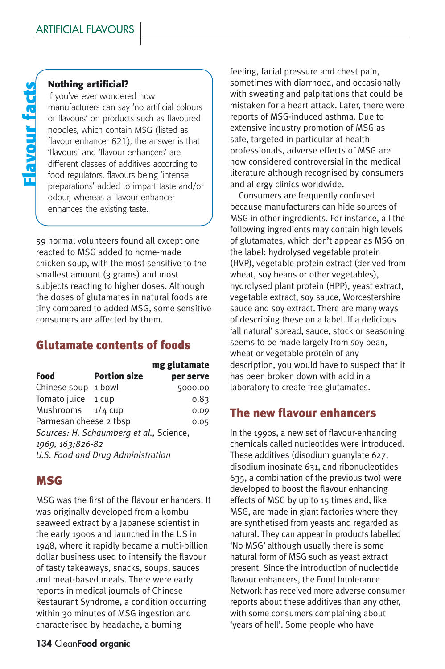#### **Nothing artificial?**

**Flavour facts Flavour facts**

If you've ever wondered how manufacturers can say 'no artificial colours or flavours' on products such as flavoured noodles, which contain MSG (listed as flavour enhancer 621), the answer is that 'flavours' and 'flavour enhancers' are different classes of additives according to food regulators, flavours being 'intense preparations' added to impart taste and/or odour, whereas a flavour enhancer enhances the existing taste.

59 normal volunteers found all except one reacted to MSG added to home-made chicken soup, with the most sensitive to the smallest amount (3 grams) and most subjects reacting to higher doses. Although the doses of glutamates in natural foods are tiny compared to added MSG, some sensitive consumers are affected by them.

#### Glutamate contents of foods

|                                         | mg glutamate                                                                          |  |
|-----------------------------------------|---------------------------------------------------------------------------------------|--|
| <b>Portion size</b>                     | per serve                                                                             |  |
| 1 bowl                                  | 5000.00                                                                               |  |
|                                         | 0.83                                                                                  |  |
|                                         | 0.09                                                                                  |  |
|                                         | 0.05                                                                                  |  |
| Sources: H. Schaumberg et al., Science, |                                                                                       |  |
|                                         |                                                                                       |  |
| U.S. Food and Drug Administration       |                                                                                       |  |
|                                         | Tomato juice 1 cup<br>Mushrooms 1/4 cup<br>Parmesan cheese 2 tbsp<br>1969, 163;826-82 |  |

#### MSG

MSG was the first of the flavour enhancers. It was originally developed from a kombu seaweed extract by a Japanese scientist in the early 1900s and launched in the US in 1948, where it rapidly became a multi-billion dollar business used to intensify the flavour of tasty takeaways, snacks, soups, sauces and meat-based meals. There were early reports in medical journals of Chinese Restaurant Syndrome, a condition occurring within 30 minutes of MSG ingestion and characterised by headache, a burning

feeling, facial pressure and chest pain, sometimes with diarrhoea, and occasionally with sweating and palpitations that could be mistaken for a heart attack. Later, there were reports of MSG-induced asthma. Due to extensive industry promotion of MSG as safe, targeted in particular at health professionals, adverse effects of MSG are now considered controversial in the medical literature although recognised by consumers and allergy clinics worldwide.

Consumers are frequently confused because manufacturers can hide sources of MSG in other ingredients. For instance, all the following ingredients may contain high levels of glutamates, which don't appear as MSG on the label: hydrolysed vegetable protein (HVP), vegetable protein extract (derived from wheat, soy beans or other vegetables), hydrolysed plant protein (HPP), yeast extract, vegetable extract, soy sauce, Worcestershire sauce and soy extract. There are many ways of describing these on a label. If a delicious 'all natural' spread, sauce, stock or seasoning seems to be made largely from soy bean, wheat or vegetable protein of any description, you would have to suspect that it has been broken down with acid in a laboratory to create free glutamates.

#### The new flavour enhancers

In the 1990s, a new set of flavour-enhancing chemicals called nucleotides were introduced. These additives (disodium guanylate 627, disodium inosinate 631, and ribonucleotides 635, a combination of the previous two) were developed to boost the flavour enhancing effects of MSG by up to 15 times and, like MSG, are made in giant factories where they are synthetised from yeasts and regarded as natural. They can appear in products labelled 'No MSG' although usually there is some natural form of MSG such as yeast extract present. Since the introduction of nucleotide flavour enhancers, the Food Intolerance Network has received more adverse consumer reports about these additives than any other, with some consumers complaining about 'years of hell'. Some people who have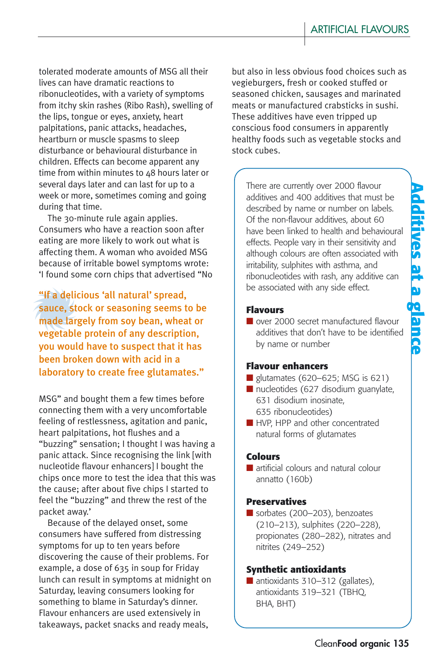tolerated moderate amounts of MSG all their lives can have dramatic reactions to ribonucleotides, with a variety of symptoms from itchy skin rashes (Ribo Rash), swelling of the lips, tongue or eyes, anxiety, heart palpitations, panic attacks, headaches, heartburn or muscle spasms to sleep disturbance or behavioural disturbance in children. Effects can become apparent any time from within minutes to 48 hours later or several days later and can last for up to a week or more, sometimes coming and going during that time.

The 30-minute rule again applies. Consumers who have a reaction soon after eating are more likely to work out what is affecting them. A woman who avoided MSG because of irritable bowel symptoms wrote: 'I found some corn chips that advertised "No

"If a delicious 'all natural' spread, sauce, stock or seasoning seems to be made largely from soy bean, wheat or vegetable protein of any description, you would have to suspect that it has been broken down with acid in a laboratory to create free glutamates."

MSG" and bought them a few times before connecting them with a very uncomfortable feeling of restlessness, agitation and panic, heart palpitations, hot flushes and a "buzzing" sensation; I thought I was having a panic attack. Since recognising the link [with nucleotide flavour enhancers] I bought the chips once more to test the idea that this was the cause; after about five chips I started to feel the "buzzing" and threw the rest of the packet away.'

Because of the delayed onset, some consumers have suffered from distressing symptoms for up to ten years before discovering the cause of their problems. For example, a dose of 635 in soup for Friday lunch can result in symptoms at midnight on Saturday, leaving consumers looking for something to blame in Saturday's dinner. Flavour enhancers are used extensively in takeaways, packet snacks and ready meals,

but also in less obvious food choices such as vegieburgers, fresh or cooked stuffed or seasoned chicken, sausages and marinated meats or manufactured crabsticks in sushi. These additives have even tripped up conscious food consumers in apparently healthy foods such as vegetable stocks and stock cubes.

There are currently over 2000 flavour additives and 400 additives that must be described by name or number on labels. Of the non-flavour additives, about 60 have been linked to health and behavioural effects. People vary in their sensitivity and although colours are often associated with irritability, sulphites with asthma, and ribonucleotides with rash, any additive can be associated with any side effect.

#### **Flavours**

■ over 2000 secret manufactured flavour additives that don't have to be identified by name or number

#### **Flavour enhancers**

- $\blacksquare$  glutamates (620–625; MSG is 621)
- nucleotides (627 disodium guanylate, 631 disodium inosinate, 635 ribonucleotides)
- HVP, HPP and other concentrated natural forms of glutamates

#### **Colours**

■ artificial colours and natural colour annatto (160b)

#### **Preservatives**

■ sorbates (200–203), benzoates (210–213), sulphites (220–228), propionates (280–282), nitrates and nitrites (249–252)

#### **Synthetic antioxidants**

■ antioxidants 310–312 (gallates), antioxidants 319–321 (TBHQ, BHA, BHT)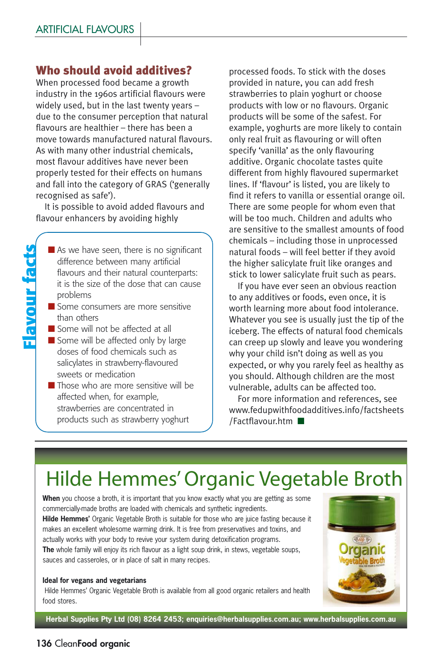#### Who should avoid additives?

When processed food became a growth industry in the 1960s artificial flavours were widely used, but in the last twenty years – due to the consumer perception that natural flavours are healthier – there has been a move towards manufactured natural flavours. As with many other industrial chemicals, most flavour additives have never been properly tested for their effects on humans and fall into the category of GRAS ('generally recognised as safe').

It is possible to avoid added flavours and flavour enhancers by avoiding highly

 $\blacksquare$  As we have seen, there is no significant difference between many artificial flavours and their natural counterparts: it is the size of the dose that can cause problems

- Some consumers are more sensitive than others
- Some will not be affected at all

**Flavour facts**

Flavour facts

- Some will be affected only by large doses of food chemicals such as salicylates in strawberry-flavoured sweets or medication
- Those who are more sensitive will be affected when, for example, strawberries are concentrated in products such as strawberry yoghurt

processed foods. To stick with the doses provided in nature, you can add fresh strawberries to plain yoghurt or choose products with low or no flavours. Organic products will be some of the safest. For example, yoghurts are more likely to contain only real fruit as flavouring or will often specify 'vanilla' as the only flavouring additive. Organic chocolate tastes quite different from highly flavoured supermarket lines. If 'flavour' is listed, you are likely to find it refers to vanilla or essential orange oil. There are some people for whom even that will be too much. Children and adults who are sensitive to the smallest amounts of food chemicals – including those in unprocessed natural foods – will feel better if they avoid the higher salicylate fruit like oranges and stick to lower salicylate fruit such as pears.

If you have ever seen an obvious reaction to any additives or foods, even once, it is worth learning more about food intolerance. Whatever you see is usually just the tip of the iceberg. The effects of natural food chemicals can creep up slowly and leave you wondering why your child isn't doing as well as you expected, or why you rarely feel as healthy as you should. Although children are the most vulnerable, adults can be affected too.

For more information and references, see www.fedupwithfoodadditives.info/factsheets /Factflavour.htm ■

### Hilde Hemmes' Organic Vegetable Broth

When you choose a broth, it is important that you know exactly what you are getting as some commercially-made broths are loaded with chemicals and synthetic ingredients. **Hilde Hemmes'** Organic Vegetable Broth is suitable for those who are juice fasting because it makes an excellent wholesome warming drink. It is free from preservatives and toxins, and actually works with your body to revive your system during detoxification programs. **The** whole family will enjoy its rich flavour as a light soup drink, in stews, vegetable soups, sauces and casseroles, or in place of salt in many recipes.

#### **Ideal for vegans and vegetarians**

Hilde Hemmes' Organic Vegetable Broth is available from all good organic retailers and health food stores.



**Herbal Supplies Pty Ltd (08) 8264 2453; enquiries@herbalsupplies.com.au; www.herbalsupplies.com.au**

#### **136** Clean**Food organic**